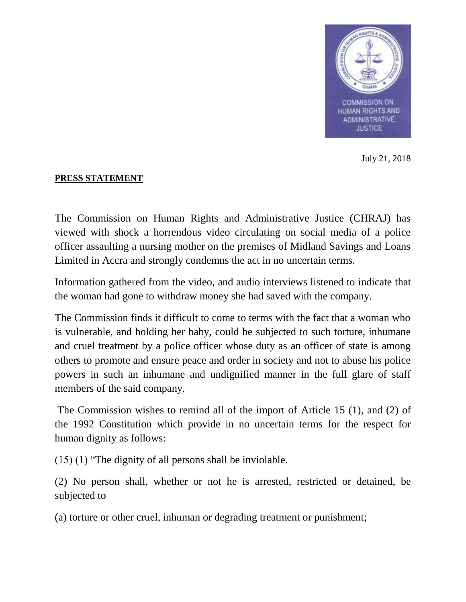

July 21, 2018

## **PRESS STATEMENT**

The Commission on Human Rights and Administrative Justice (CHRAJ) has viewed with shock a horrendous video circulating on social media of a police officer assaulting a nursing mother on the premises of Midland Savings and Loans Limited in Accra and strongly condemns the act in no uncertain terms.

Information gathered from the video, and audio interviews listened to indicate that the woman had gone to withdraw money she had saved with the company.

The Commission finds it difficult to come to terms with the fact that a woman who is vulnerable, and holding her baby, could be subjected to such torture, inhumane and cruel treatment by a police officer whose duty as an officer of state is among others to promote and ensure peace and order in society and not to abuse his police powers in such an inhumane and undignified manner in the full glare of staff members of the said company.

The Commission wishes to remind all of the import of Article 15 (1), and (2) of the 1992 Constitution which provide in no uncertain terms for the respect for human dignity as follows:

(15) (1) "The dignity of all persons shall be inviolable.

(2) No person shall, whether or not he is arrested, restricted or detained, be subjected to

(a) torture or other cruel, inhuman or degrading treatment or punishment;